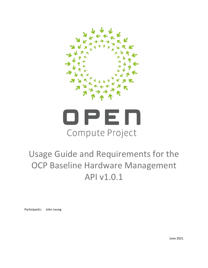



# Usage Guide and Requirements for the OCP Baseline Hardware Management API v1.0.1

Participants: John Leung

June 2021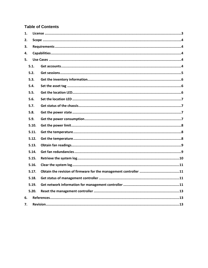# **Table of Contents**

| 1. |       |  |  |  |  |
|----|-------|--|--|--|--|
| 2. |       |  |  |  |  |
| 3. |       |  |  |  |  |
| 4. |       |  |  |  |  |
| 5. |       |  |  |  |  |
|    | 5.1.  |  |  |  |  |
|    | 5.2.  |  |  |  |  |
|    | 5.3.  |  |  |  |  |
|    | 5.4.  |  |  |  |  |
|    | 5.5.  |  |  |  |  |
|    | 5.6.  |  |  |  |  |
|    | 5.7.  |  |  |  |  |
|    | 5.8.  |  |  |  |  |
|    | 5.9.  |  |  |  |  |
|    | 5.10. |  |  |  |  |
|    | 5.11. |  |  |  |  |
|    | 5.12. |  |  |  |  |
|    | 5.13. |  |  |  |  |
|    | 5.14. |  |  |  |  |
|    | 5.15. |  |  |  |  |
|    | 5.16. |  |  |  |  |
|    | 5.17. |  |  |  |  |
|    | 5.18. |  |  |  |  |
|    | 5.19. |  |  |  |  |
|    | 5.20. |  |  |  |  |
| 6. |       |  |  |  |  |
| 7. |       |  |  |  |  |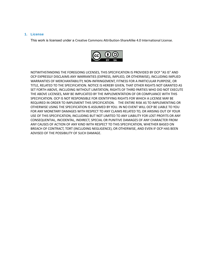### <span id="page-2-0"></span>**1. License**

This work is licensed under a [Creative Commons Attribution-ShareAlike 4.0 International License](https://creativecommons.org/licenses/by-sa/4.0/).



NOTWITHSTANDING THE FOREGOING LICENSES, THIS SPECIFICATION IS PROVIDED BY OCP "AS IS" AND OCP EXPRESSLY DISCLAIMS ANY WARRANTIES (EXPRESS, IMPLIED, OR OTHERWISE), INCLUDING IMPLIED WARRANTIES OF MERCHANTABILITY, NON-INFRINGEMENT, FITNESS FOR A PARTICULAR PURPOSE, OR TITLE, RELATED TO THE SPECIFICATION. NOTICE IS HEREBY GIVEN, THAT OTHER RIGHTS NOT GRANTED AS SET FORTH ABOVE, INCLUDING WITHOUT LIMITATION, RIGHTS OF THIRD PARTIES WHO DID NOT EXECUTE THE ABOVE LICENSES, MAY BE IMPLICATED BY THE IMPLEMENTATION OF OR COMPLIANCE WITH THIS SPECIFICATION. OCP IS NOT RESPONSIBLE FOR IDENTIFYING RIGHTS FOR WHICH A LICENSE MAY BE REQUIRED IN ORDER TO IMPLEMENT THIS SPECIFICATION. THE ENTIRE RISK AS TO IMPLEMENTING OR OTHERWISE USING THE SPECIFICATION IS ASSUMED BY YOU. IN NO EVENT WILL OCP BE LIABLE TO YOU FOR ANY MONETARY DAMAGES WITH RESPECT TO ANY CLAIMS RELATED TO, OR ARISING OUT OF YOUR USE OF THIS SPECIFICATION, INCLUDING BUT NOT LIMITED TO ANY LIABILITY FOR LOST PROFITS OR ANY CONSEQUENTIAL, INCIDENTAL, INDIRECT, SPECIAL OR PUNITIVE DAMAGES OF ANY CHARACTER FROM ANY CAUSES OF ACTION OF ANY KIND WITH RESPECT TO THIS SPECIFICATION, WHETHER BASED ON BREACH OF CONTRACT, TORT (INCLUDING NEGLIGENCE), OR OTHERWISE, AND EVEN IF OCP HAS BEEN ADVISED OF THE POSSIBILITY OF SUCH DAMAGE.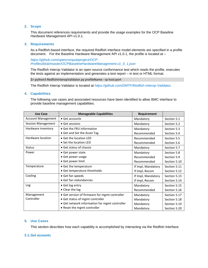# <span id="page-3-0"></span>**2. Scope**

This document references requirements and provide the usage examples for the OCP Baseline Hardware Management API v1.0.1.

#### <span id="page-3-1"></span>**3. Requirements**

As a Redfish-based interface, the required Redfish interface model elements are specified in a profile document. For the Baseline Hardware Management API v1.0.1, the profile is located at -

*[https://github.com/opencomputeproject/OCP-](https://github.com/opencomputeproject/OCP-Profiles/blob/master/OCPBaselineHardwareManagement.v1_0_1.json)[Profiles/blob/master/OCPBaselineHardwareManagement.v1\\_0\\_1.json](https://github.com/opencomputeproject/OCP-Profiles/blob/master/OCPBaselineHardwareManagement.v1_0_1.json)*

The Redfish Interop Validator is an open source conformance test which reads the profile, executes the tests against an implementation and generates a test report – in text or HTML format.

\$> python3 RedfishInteropValidator.py profileName --ip host:port

The Redfish Interop Validator is located at *<https://github.com/DMTF/Redfish-Interop-Validator>*.

#### <span id="page-3-2"></span>**4. Capabilities**

The following use cases and associated resources have been identified to allow BMC interface to provide baseline management capabilities.

| <b>Use Case</b>           | <b>Manageable Capabilities</b>                | Requirement        |              |
|---------------------------|-----------------------------------------------|--------------------|--------------|
| <b>Account Management</b> | • Get accounts                                | Mandatory          | Section 5.1  |
| <b>Session Management</b> | • Get sessions                                | Mandatory          | Section 5.2  |
| Hardware inventory        | • Get the FRU information                     | Mandatory          | Section 5.3  |
|                           | • Get and Set the Asset Tag                   | Recommended        | Section 5.4  |
| Hardware location         | • Get the location LED                        | Recommended        | Section 5.5  |
|                           | • Set the location LED                        | Recommended        | Section 5.6  |
| <b>Status</b>             | • Get status of chassis                       | Mandatory          | Section 5.7  |
| Power                     | • Get power state                             | Mandatory          | Section 5.8  |
|                           | • Get power usage                             | Recommended        | Section 5.9  |
|                           | • Get power limit                             | Recommended        | Section 5.10 |
| Temperature               | • Get the temperature                         | If Impl, Mandatory | Section 5.11 |
|                           | • Get temperature thresholds                  | If Impl, Recom     | Section 5.12 |
| Cooling                   | • Get fan speeds                              | If Impl, Mandatory | Section 5.13 |
|                           | · Get fan redundancies                        | If Impl, Recom     | Section 5.14 |
| Log                       | • Get log entry                               | Mandatory          | Section 5.15 |
|                           | • Clear the log                               | Recommended        | Section 5.16 |
| Management                | • Get version of firmware for mgmt controller | Mandatory          | Section 5.17 |
| Controller                | • Get status of mgmt controller               | Mandatory          | Section 5.18 |
|                           | • Get network information for mgmt controller | Mandatory          | Section 5.19 |
|                           | • Reset the mgmt controller                   | Mandatory          | Section 5.20 |

#### <span id="page-3-3"></span>**5. Use Cases**

This section describes how each capability is accomplished by interacting via the Redfish Interface.

#### <span id="page-3-4"></span>**5.1.Get accounts**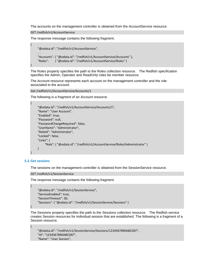The accounts on the management controller is obtained from the AccountService resource.

GET /redfish/v1/AccountService

The response message contains the following fragment.

```
{
     "@odata.id": "/redfish/v1/AccountService",
    . . .
     "Accounts": { "@odata.id": "/redfish/v1/AccountService/Accounts" },
     "Roles": { "@odata.id": "/redfish/v1/AccountService/Roles" }
}
```
The Roles property specifies the path to the Roles collection resource. The Redfish specification specifies the Admin, Operator and ReadOnly roles be member resource.

The Account resource represents each account on the management controller and the role associated to the account.

Get /redfish/v1/AccountService/Accounts/1

The following is a fragment of an Account resource.

```
 "@odata.id": "/redfish/v1/AccountService/Accounts/1",
 "Name": "User Account",
 "Enabled": true,
 "Password": null,
 "PasswordChangeRequired": false,
 "UserName": "Administrator",
 "RoleId": "Administrator",
 "Locked": false,
 "Links": {
      "Role": { "@odata.id": "/redfish/v1/AccountService/Roles/Administrator" }
 }
```
#### <span id="page-4-0"></span>**5.2.Get sessions**

}

{

}

{

{

The sessions on the management controller is obtained from the SessionService resource.

GET /redfish/v1/SessionService

The response message contains the following fragment.

```
 "@odata.id": "/redfish/v1/SessionService",
 "ServiceEnabled": true,
 "SessionTimeout": 30,
 "Sessions": { "@odata.id": "/redfish/v1/SessionService/Sessions" }
```
The Sessions property specifies the path to the Sessions collection resource. The Redfish service creates Session resources for individual session that are established. The following is a fragment of a Session resource.

```
 "@odata.id": "/redfish/v1/SessionService/Sessions/1234567890ABCDEF",
 "Id": "1234567890ABCDEF",
 "Name": "User Session",
```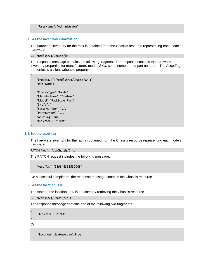"UserName": "Administrator"

#### <span id="page-5-0"></span>**5.3.Get the inventory information**

}

The hardware inventory for the rack in obtained from the Chassis resource representing each node's hardware.

```
GET /redfish/v1/Chassis/{id}
```
The response message contains the following fragment. The response contains the hardware inventory properties for manufacturer, model, SKU, serial number, and part number. The AssetTag properties is a client writeable property.

```
{
     "@odata.id": "/redfish/v1/Chassis/Ch-1",
     "Id": "Node1",
    . . .
     "ChassisType": "Node",
     "Manufacturer": "Contoso"
     "Model": "RackScale_Rack",
     "SKU": "…"
     "SerialNumber": "…",
     "PartNumber": "…",
     "AssetTag": null,
    "IndicatorLED": "Off"
```
#### <span id="page-5-1"></span>**5.4.Set the asset tag**

}

The hardware inventory for the rack in obtained from the Chassis resource representing each node's hardware.

```
PATCH /redfish/v1/Chassis/Ch-1
```
The PATCH request includes the following message.

```
{
     "AssetTag": "989846353530048"
}
```
On successful completion, the response message contains the Chassis resource.

#### <span id="page-5-2"></span>**5.5.Get the location LED**

The state of the location LED is obtained by retrieving the Chassis resource.

```
GET /redfish/v1/Chassis/Ch-1
```
The response message contains one of the following two fragments.

```
 "IndicatorLED": "Lit"
```
}

{

Or {

```
 "LocationIndicatorActive": True
```
}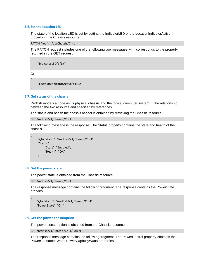#### <span id="page-6-0"></span>**5.6.Set the location LED**

The state of the location LED is set by setting the IndicatorLED or the LocationIndicatorActive property in the Chassis resource.

PATCH /redfish/v1/Chassis/Ch-1

The PATCH request includes one of the following two messages, with corresponds to the property returned in the GET request.

```
 "IndicatorLED": "Lit"
```
} Or

{

}

{

"LocationIndicatorActive": True

#### <span id="page-6-1"></span>**5.7.Get status of the chassis**

Redfish models a node as its physical chassis and the logical computer system. The relationship between the two resource and specified by references.

The status and health the chassis aspect is obtained by retrieving the Chassis resource.

```
GET /redfish/v1/Chassis/Ch-1
```
The following message is the response. The Status property contains the state and health of the chassis.

```
{
      "@odata.id": "/redfish/v1/Chassis/Ch-1",
      "Status": {
           "State": "Enabled",
            "Health": "OK"
      }
}
```
# <span id="page-6-2"></span>**5.8.Get the power state**

{

}

The power state is obtained from the Chassis resource.

```
GET /redfish/v1/Chassis/Ch-1
```
The response message contains the following fragment. The response contains the PowerState property.

```
 "@odata.id": "/redfish/v1/Chassis/Ch-1",
 "PowerState": "On"
```
#### <span id="page-6-3"></span>**5.9.Get the power consumption**

The power consumption is obtained from the Chassis resource.

```
GET /redfish/v1/Chassis/Ch-1/Power
```
The response message contains the following fragment. The PowerControl property contains the PowerConsumedWatts PowerCapacityWatts properties.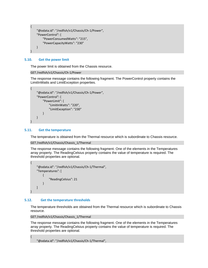```
{
     "@odata.id": "/redfish/v1/Chassis/Ch-1/Power",
    "PowerControl": {
        "PowerConsumedWatts": "215",
        "PowerCapacityWatts": "230"
   }
}
```
### <span id="page-7-0"></span>**5.10. Get the power limit**

The power limit is obtained from the Chassis resource.

#### GET /redfish/v1/Chassis/Ch-1/Power

The response message contains the following fragment. The PowerControl property contains the LimitInWatts and LimitException properties.

```
{
     "@odata.id": "/redfish/v1/Chassis/Ch-1/Power",
     "PowerControl": {
         "PowerLimit": {
             "LimitInWatts": "220",
             "LimitException": "230"
        }
    }
}
```
# <span id="page-7-1"></span>**5.11. Get the temperature**

The temperature is obtained from the Thermal resource which is subordinate to Chassis resource.

```
GET /redfish/v1/Chassis/Chassis_1/Thermal
```
The response message contains the following fragment. One of the elements in the Temperatures array property. The ReadingCelsius property contains the value of temperature is required. The threshold properties are optional.

```
{
                  "@odata.id": "/redfish/v1/Chassis/Ch-1/Thermal",
                  "Temperatures": [
\left\{ \begin{array}{ccc} 0 & 0 & 0 \\ 0 & 0 & 0 \\ 0 & 0 & 0 \\ 0 & 0 & 0 \\ 0 & 0 & 0 \\ 0 & 0 & 0 \\ 0 & 0 & 0 \\ 0 & 0 & 0 \\ 0 & 0 & 0 \\ 0 & 0 & 0 \\ 0 & 0 & 0 \\ 0 & 0 & 0 \\ 0 & 0 & 0 \\ 0 & 0 & 0 & 0 \\ 0 & 0 & 0 & 0 \\ 0 & 0 & 0 & 0 \\ 0 & 0 & 0 & 0 \\ 0 & 0 & 0 & 0 & 0 \\ 0 & 0 & 0 & 0 & 0 \\ 0 & 0 & 0 & 0 & 0 "ReadingCelsius": 21
                                 }
               ]
}
```
# **5.12. Get the temperature thresholds**

{

<span id="page-7-2"></span>The temperature thresholds are obtained from the Thermal resource which is subordinate to Chassis resource.

```
GET /redfish/v1/Chassis/Chassis_1/Thermal
```
The response message contains the following fragment. One of the elements in the Temperatures array property. The ReadingCelsius property contains the value of temperature is required. The threshold properties are optional.

"@odata.id": "/redfish/v1/Chassis/Ch-1/Thermal",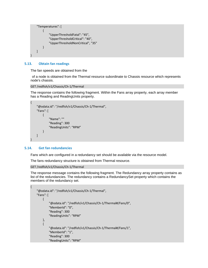```
 "Temperatures": [
         {
             "UpperThresholdFatal": "45",
             "UpperThresholdCritical": "40",
             "UpperThresholdNonCritical", "35"
        }
   ]
}
```
### <span id="page-8-0"></span>**5.13. Obtain fan readings**

The fan speeds are obtained from the

of a node is obtained from the Thermal resource subordinate to Chassis resource which represents node's chassis.

#### GET /redfish/v1/Chassis/Ch-1/Thermal

The response contains the following fragment. Within the Fans array property, each array member has a Reading and ReadingUnits property.

```
{
     "@odata.id": "/redfish/v1/Chassis/Ch-1/Thermal",
     "Fans": [
         {
              "Name": ""
             "Reading": 300
             "ReadingUnits": "RPM"
        }
   ]
}
```
# <span id="page-8-1"></span>**5.14. Get fan redundancies**

{

Fans which are configured in a redundancy set should be available via the resource model.

The fans redundancy structure is obtained from Thermal resource.

```
GET /redfish/v1/Chassis/Ch-1/Thermal
```
The response message contains the following fragment. The Redundancy array property contains as list of the redundancies. The redundancy contains a RedundancySet property which contains the members of the redundancy set.

```
 "@odata.id": "/redfish/v1/Chassis/Ch-1/Thermal",
 "Fans": [
     {
        "@odata.id": "/redfish/v1/Chassis/Ch-1/Thermal#/Fans/0",
         "MemberId": "0",
         "Reading": 300
        "ReadingUnits": "RPM"
   },
    {
        "@odata.id": "/redfish/v1/Chassis/Ch-1/Thermal#/Fans/1",
         "MemberId": "1",
         "Reading": 300
        "ReadingUnits": "RPM"
```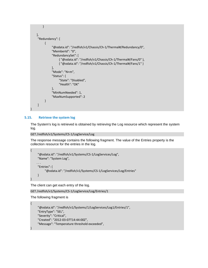```
}
   ],
     "Redundancy": [
\{ "@odata.id": "/redfish/v1/Chassis/Ch-1/Thermal#/Redundancy/0",
               "MemberId": "0",
               "RedundancySet": [
                    { "@odata.id": "/redfish/v1/Chassis/Ch-1/Thermal#/Fans/0" },
                    { "@odata.id": "/redfish/v1/Chassis/Ch-1/Thermal#/Fans/1" }
               ],
               "Mode": "N+m",
               "Status": {
                    "State": "Disabled",
                    "Health": "OK"
, and the state \} "MinNumNeeded": 1,
               "MaxNumSupported": 2
          }
     ]
}
```
# <span id="page-9-0"></span>**5.15. Retrieve the system log**

The System's log is retrieved is obtained by retrieving the Log resource which represent the system log.

```
GET /redfish/v1/Systems/CS-1/LogService/Log
```
The response message contains the following fragment. The value of the Entries property is the collection resource for the entries in the log.

```
{
      "@odata.id": "/redfish/v1/Systems/CS-1/LogServices/Log",
      "Name": "System Log",
    . . .
      "Entries": {
           "@odata.id": "/redfish/v1/Systems/CS-1/LogServices/Log/Entries"
      }
}
```
The client can get each entry of the log.

```
GET /redfish/v1/Systems/CS-1/LogService/Log/Entries/1
```
The following fragment is

{

<span id="page-9-1"></span>}

```
 "@odata.id": "/redfish/v1/Systems/1/LogServices/Log1/Entries/1",
 "EntryType": "SEL",
 "Severity": "Critical",
 "Created": "2012-03-07T14:44:00Z",
 "Message": "Temperature threshold exceeded",
```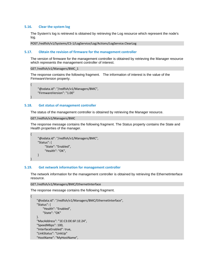#### <span id="page-10-3"></span>**5.16. Clear the system log**

The System's log is retrieved is obtained by retrieving the Log resource which represent the node's log.

POST /redfish/v1/Systems/CS-1/LogService/Log/Actions/LogService.ClearLog

#### <span id="page-10-0"></span>**5.17. Obtain the revision of firmware for the management controller**

The version of firmware for the management controller is obtained by retrieving the Manager resource which represents the management controller of interest.

```
GET /redfish/v1/Managers/BMC_1
```
{

}

{

}

{

The response contains the following fragment. The information of interest is the value of the FirmwareVersion property.

```
 "@odata.id": "/redfish/v1/Managers/BMC",
 "FirmwareVersion": "1.00"
```
#### <span id="page-10-1"></span>**5.18. Get status of management controller**

The status of the management controller is obtained by retrieving the Manager resource.

GET /redfish/v1/Managers/BMC

The response message contains the following fragment. The Status property contains the State and Health properties of the manager.

```
 "@odata.id": "/redfish/v1/Managers/BMC",
 "Status": {
      "State": "Enabled",
      "Health": "OK",
 }
```
#### <span id="page-10-2"></span>**5.19. Get network information for management controller**

The network information for the management controller is obtained by retrieving the EthernetInterface resource.

```
GET /redfish/v1/Managers/BMC/EthernetInterface
```
The response message contains the following fragment.

```
 "@odata.id": "/redfish/v1/Managers/BMC/EthernetInterface",
"Status": {
    "Health": "Enabled",
    "State": "OK"
}.
 "MacAddress": "1E:C3:DE:6F:1E:24",
"SpeedMbps": 100,
"InterfaceEnabled": true,
"LinkStatus": "LinkUp"
 "HostName": "MyHostName",
```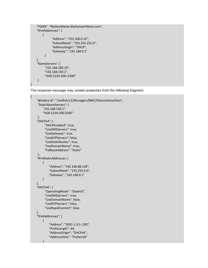```
 "FQDN": "MyHostName.MyDomainName.com",
   "IPv4Addresses": [
       {
               "Address": "192.168.0.10",
               "SubnetMask": "255.255.252.0",
               "AddressOrigin": "DHCP",
               "Gateway": "192.168.0.1"
 }
   ],
    "NameServers": [
          "192.168.200.10",
          "192.168.150.1",
          "fc00:1234:100::2500"
     ]
```
}

The response message may contain properties from the following fragment.

```
{
     "@odata.id": "/redfish/v1/Managers/BMC/EthernetInterface",
      "StaticNameServers": [
          "192.168.150.1",
          "fc00:1234:200:2500"
     ],
     "DHCPv4": {
           "DHCPEnabled": true,
           "UseDNSServers": true,
           "UseGateway": true,
           "UseNTPServers": false,
           "UseStaticRoutes": true,
           "UseDomainName": true,
           "FallbackAddress": "Static"
     },
    "IPv4StaticAddresses: [
          {
               "Address": "192.168.88.130",
               "SubnetMask": "255.255.0.0",
               "Gateway": "192.168.0.1"
         }
    ],
    "DHCPv6": {
           "OperatingMode": "Stateful",
           "UseDNSServers": true,
           "UseDomainName": false,
           "UseNTPServers": false,
           "UseRapidCommit": false
     },
    "IPv6Addresses": [
\left\{ \begin{array}{cc} 0 & 0 \\ 0 & 0 \end{array} \right\} "Address": "2001:1:3:5::100",
               "PrefixLength": 64,
               "AddressOrigin": "DHCPv6",
               "AddressState": "Preferred"
          }
```